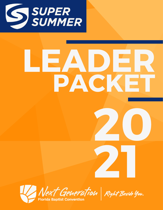

# LEADER PACKET 20

Next Generation Right Beside You.

21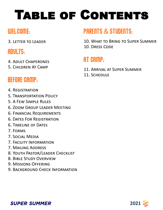## Table of Contents

## WELCOME:

3. Letter to Leader

## ADULTS:

- 4. Adult Chaperones
- 5. Children At Camp

## BEFORE CAMP:

- 4. Registration
- 5. Transportation Policy
- 5. A Few Simple Rules
- 6. Zoom Group Leader Meeting
- 6. Financial Requirements
- 6. Dates For Registration
- 6. Timeline of Dates
- 7. Forms
- 7. Social Media
- 7. Facility Information
- 7. Mailing Address
- 8. Youth Pastor/Leader Checklist
- 8. Bible Study Overview
- 9. Missions Offering
- 9. Background Check Information

## PARENTS & STUDENTS:

10. What to Bring to Super Summer 10. Dress Code

## AT CAMP:

- 11. Arrival at Super Summer
- 11. Schedule



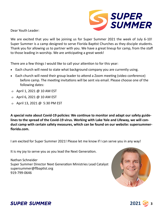

Dear Youth Leader:

We are excited that you will be joining us for Super Summer 2021 the week of July 6-10! Super Summer is a camp designed to serve Florida Baptist Churches as they disciple students. Thank you for allowing us to partner with you. We have a great lineup for camp, from the staff to those leading in worship. We are anticipating a great week!

There are a few things I would like to call your attention to for this year:

- Each church will need to state what background company you are currently using.
- Each church will need their group leader to attend a Zoom meeting (video conference) before camp. The meeting invitations will be sent via email. Please choose one of the following dates:
- o April 1, 2021 @ 10 AM EST
- o April 6, 2021 @ 10 AM EST
- April 13, 2021 @ 5:30 PM EST

**A special note about Covid-19 policies: We continue to monitor and adapt our safety guidelines to the spread of the Covid-19 virus. Working with Lake Yale and Lifeway, we will conduct camp with certain safety measures, which can be found on our website: supersummerflorida.com.**

I am excited for Super Summer 2021! Please let me know if I can serve you in any way!

It is my joy to serve you as you lead the Next Generation.

Nathan Schneider Super Summer Director Next Generation Ministries Lead Catalyst supersummer@flbaptist.org 919-799-0646





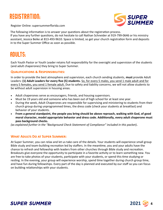## REGISTRATION:



Register Online: supersummerflorida.com

The following information is to answer your questions about the registration process. If you have any further questions, do not hesitate to call Nathan Schneider at 919-799-0646 or his ministry assistant, Jessica Beike at 813-493-9610. Space is limited, so get your church registration form and deposits in to the Super Summer Office as soon as possible.

#### ADULTS:

Each Youth Pastor or Youth Leader retains full responsibility for the oversight and supervision of the students (and adult chaperones) they bring to Super Summer.

#### **Qualifications & Responsibilities:**

In order to provide the best atmosphere and supervision, each church sending students, **must** provide Adult Leaders: **(1) Adult Leaders for every five (5) students.** So, for every 5 males, you send 1 male adult and for every 5 females, you send 1 female adult. Due to safety and liability concerns, we will not allow students to be without adult supervision in housing areas.

- Adult chaperones serve as encouragers, friends, and housing supervisors.
- Must be 19 years old and someone who has been out of high school for at least one year.
- During the week, Adult Chaperones are responsible for supervising and ministering to students from their church group during unprogrammed times, the dress code (check your students at breakfast) and behavior of your students.
- **From a general standpoint, the people you bring should be above reproach, walking with God, of good moral character, model appropriate behavior and dress code. Additionally, every adult chaperone must pass background checks.**

*(as explained further in the "Background Check Statement of Compliance" included in this packet)***.** 

#### **What Adults Do at Super Summer:**

At Super Summer, you can relax and let us take care of the details. Your students will experience small group Bible study and team-building recreation led by staffers. In the meantime, you and your adults have the chance to refresh and fellowship with leaders from other churches through Bible study and recreation. Breakouts give everyone the opportunity to participate in a favorite activity or to learn something new. You are free to take photos of your students, participate with your students, or spend this time studying or resting. In the evening, your group will experience worship, spend time together during church group time, and have fun during fellowships. Every part of the day is planned and executed by our staff so you can focus on building relationships with your students.



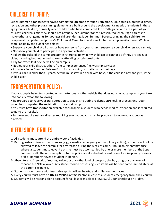#### CHILDREN AT CAMP:

Super Summer is for students having completed 6th grade through 12th grade. Bible studies, breakout times, recreation and other programming elements are built around the developmental needs of students in these age groups. Children, primarily older children who have completed 4th or 5th grade who are a part of your church's children's ministry, should not attend Super Summer for this reason. We encourage parents to make other arrangements for younger children during Super Summer. Parents bringing their children to camp must complete the Sponsor's Children at Camp form and email it to the camp email address. While at camp, abide by the guidelines below:

- Supervise your child at all times or have someone from your church supervise your child when you cannot;
- Not allow your child to participate in any camp activities;
- Follow the rules of the camp director in reference to what my child can or cannot do if they are age 6 or older, including but not limited to – only attending certain breakouts;
- Pay for my child if he/she will be on campus;
- Not let your child distract others from camp experiences (i.e. worship services);
- Provide a Super Summer Release Form for your child, no matter what their age.

• If your child is older than 6 years, he/she must stay in a dorm with boys, if the child is a boy and girls, if the child is a girl.

#### TRANSPORTATION POLICY:

If your group is being transported on a charter bus or other vehicle that does not stay at camp with you, take into consideration the following:

• Be prepared to have your transportation to stay onsite during registration/check-in process until your group has completed the registration process at camp.

• You must have transportation available to transport a student who needs medical attention and is required to go to the hospital.

• In the event of a natural disaster requiring evacuation, you must be prepared to move your group as directed.

#### A FEW SIMPLE RULES:

- 1. All students must attend the entire week of activities.
- 2. Barring extraordinary circumstances (e.g., a medical emergency or disciplinary action), students will not be allowed to leave the campus for any reason during the week of camp. Should an emergency arise where a student must leave, he or she must be accompanied by one or more members of the Super Summer staff. The only exceptions to this policy are if a student is sent home for disciplinary reasons, or if a parent retrieves a student in-person.
- 3. Absolutely no fireworks, firearms, knives, or any other kind of weapon, alcohol, drugs, or any form of tobacco are NOT allowed. Any student found possessing such items will be sent home immediately, at the parent's expense.
- 4. Students should come with teachable spirits, willing hearts, and smiles on their faces.
- 5. Every church must have an **ON CAMPUS Contact Person** in case of a student emergency from their church.

**2021 <sup>5</sup>**

6. Students will be responsible to account for all lost or misplaced keys (\$10) upon checkout on Friday.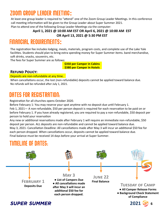#### Zoom Group Leader Meeting:

At least one group leader is required to "attend" one of the Zoom Group Leader Meetings. In this conference call meeting information will be given to the Group Leader about Super Summer 2021.

Plan to attend one of the following Group Leader Meetings via the computer:

#### **April 1, 2021 @ 10:00 AM EST OR April 6, 2021 @ 10:00 AM EST OR April 13, 2021 @ 5:30 PM EST**

#### FINANCIAL REQUIREMENTS:

The registration fee includes lodging, meals, materials, program costs, and complete use of the Lake Yale facilities. Students should plan to bring extra spending money for Super Summer items. band merchandise, soft drinks, snacks, souvenirs, etc.

The fees for Super Summer are as follows:

**\$350 per Camper in Cabins \$380 per Camper in Hotels**

#### **Refund Policy:**

#### Deposits are non-refundable at any time.

When cancellations occur, the lost (non-refundable) deposits cannot be applied toward balance due. No refunds will be refunded after July 1, 2021.

#### DATES FOR REGISTRATION:

Registration for all churches opens October 2020.

Before February 1: You may reserve your spot anytime with no deposit due until February 1. Feb 1, 2021— A non-refundable, \$50 per person deposit is required for each reservation to be paid on or before February 1. If you have already registered, you are required to pay a non-refundable, \$50 deposit per person to hold your reservation

Any new or additional reservations made after February 1 will require an immediate non-refundable, \$50 deposit per person. ALL deposits are non-refundable and cannot be applied toward balance due. May 3, 2021- Cancellation Deadline: All cancellations made after May 3 will incur an additional \$50 fee for each person dropped. When cancellations occur, deposits cannot be applied toward balance due. Final balance must be received 14 days before your arrival at Super Summer.

#### TIMELINE OF DATES:

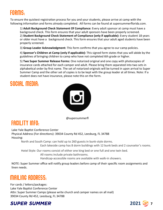#### FORMS:

To ensure the quickest registration process for you and your students, please arrive at camp with the following information and forms already completed. All forms can be found at supersummerflorida.com.

1) **Adult Background Check Statement Of Compliance:** Every adult sponsor at camp must have a background check. This form ensures that your adult sponsors have been properly screened. 2) **Student Background Check Statement of Compliance (only if applicable):** Every student 18 years or older must have a background check. This form ensures that your adult aged students have been properly screened.

3) **Group Leader Acknowledgment:** This form confirms that you agree to our camp policies.

4) **Sponsor's Children at Camp (only if applicable):** This signed form states that you will abide by the guidelines of bringing children to camp who have not completed 6th grade or higher.

5) **Two Super Summer Release Forms:** One notarized original and one copy with photocopies of insurance cards attached for each camper and adult. Please bring them separated into two sets in alphabetical order by first name. The set of notarized originals will be turned in upon arrival to Super Summer Camp and the other set of copies is to be kept with the group leader at all times. Note: If a student does not have insurance, please note this on the form.

#### SOCIAL MEDIA:



@supersummerfl

#### FACILITY INFO:

Lake Yale Baptist Conference Center Physical Address (For directions): 39034 County Rd 452, Leesburg, FL 34788 Housing:

North and South Camp: can hold up to 260 guests in bunk-style dorms.

Each lakeside camp has 8 dorm buildings with 12 bunk beds and 2 counselor's rooms.

Hotel Style: Our rooms consist of either one king bed or one full and one twin bed.

All rooms include private bathrooms.

Handicap-accessible rooms are available with walk-in showers.

NOTE: Super Summer office will notify group leaders before camp of their specific room assignments and linen needs.

#### MAILING ADDRESS:

For cards / letters/packages: Lake Yale Baptist Conference Center Attn: Super Summer Camps (please write church and camper names on all mail) 39034 County Rd 452, Leesburg, FL 34788

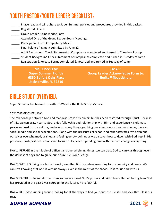### YOUTH PASTOR/YOUTH LEADER CHECKLIST:

- I have read and will adhere to Super Summer policies and procedures provided in this packet.
- **\_\_\_\_\_** Registered Online
- \_\_\_\_\_ Group Leader Acknowledge Form
- \_\_\_\_\_ Attended One of the Group Leader Zoom Meetings
- **\_\_\_\_\_\_** Participation List is Complete by May 3
- \_\_\_\_\_ Final balance Payment submitted by June 22
- \_\_\_\_\_ Adult Background Check Statement of Compliance completed and turned in Tuesday of camp
- **\_\_\_\_\_** Student Background Check Statement of Compliance completed and turned in Tuesday of camp
- Registration & Release Forms completed & notarized and turned in Tuesday of camp

**Mail Checks to: Super Summer Florida 6850 Belfort Oaks Place Jacksonville, FL 32216**

**EMAIL: Group Leader Acknowledge Form to: jbeike@flbaptist.org**

#### BIBLE STUDY OVERVIEW:

Super Summer has teamed up with LifeWay for the Bible Study Material.

#### 2021 THEME OVERVIEW:

The relationship between God and man was broken by our sin but has been restored through Christ. Because of this, we can draw near to God, enjoy fellowship and relationship with Him and experience His ultimate peace and rest. In our culture, we have so many things grabbing our attention such as our phones, devices, social media and social expectations. Along with the pressures of school and other activities, we often find ourselves overwhelmed, drained and feeling empty. Join us as we discover how to dwell with God, rest in His presence, push past distractions and focus on His peace. Spending time with the Lord changes everything!

DAY 1: REFUGE In the middle of difficult and overwhelming times, we can trust God to carry us through even the darkest of days and to guide our future. He is our Refuge.

DAY 2: WITH US Living in a broken world, we often find ourselves searching for community and peace. We can rest knowing that God is with us always, even in the midst of the chaos. He is for us and with us.

DAY 3: FAITHFUL Personal circumstances never exceed God's power and faithfulness. Remembering how God has provided in the past gives courage for the future. He is faithful.

DAY 4: REST Stop running around looking for all the ways to find your purpose. Be still and seek Him. He is our rest.

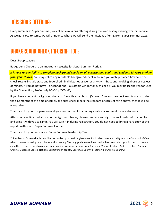#### MISSIONS OFFERING:

Every summer at Super Summer, we collect a missions offering during the Wednesday evening worship service. As we get close to camp, we will announce where we will send the missions offering from Super Summer 2021.

#### BACKGROUND CHECK INFORMATION:

#### Dear Group Leader:

Background Checks are an important necessity for Super Summer Florida.

*It is your responsibility to complete background checks on all participating adults and students 18 years or older from your church.* You may utilize any reputable background check resource you wish; provided however, the check results include state and federal criminal histories as well as any civil infractions involving abuse or neglect of minors. If you do not have—or cannot find—a suitable vendor for such checks, you may utilize the vendor used by the Convention, *Protect My Ministry ("PMM")*.

If you have a current background check on file with your church ("current" means the check results are no older than 12 months at the time of camp), and such check meets the standard of care set forth above, then it will be acceptable.

Thank you for your cooperation and your commitment to creating a safe environment for our students.

After you have finalized all of your background checks, please complete and sign the enclosed confirmation form and bring it with you to camp. You will turn it in during registration. You do not need to bring a hard copy of the reports with you to Super Summer Florida.

Thank you for your assistance! Super Summer Leadership Team

\* Standard of Care – what is described as prudent practice in a given area; Florida law does not codify what the Standard of Care is when it comes to background checks and screening. The only guidance we have is what has been ruled upon in courts of law and even then it is necessary to compare our practices with current practices. (Includes: SSN Verification, Address History, National Criminal Database Search, National Sex Offender Registry Search, & County or Statewide Criminal Search.)

**2021 <sup>9</sup>**

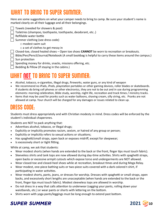#### WHAT TO BRING TO SUPER SUMMER:

Here are some suggestions on what your camper needs to bring to camp. Be sure your student's name is marked clearly on all their luggage and all their belongings.

- Towels (needed for showers & pool)
	- Toiletries (shampoo, toothpaste, toothpaste, deodorant, etc..)
- $\Box$  Refillable water bottle
- $\Box$  Summer clothing (see dress code)
	- □ modest swim suit
	- $\Box$  a set of clothes to get messy in
- Closed-toe, closed healed shoes Open toe shoes **CANNOT** be worn to recreation or breakouts.
- Bible/Pen/Pencil/Journal/Notebook (A small bookbag is helpful to carry these items around the campus.)  $\vert \ \vert$  Sun protection
- $\Box$  Spending money for drinks, snacks, missions offering, etc.
- $\Box$  Bedding & Pillow (If staying in the cabins.)

## WHAT NOT TO BRING TO SUPER SUMMER:

- Alcohol, tobacco, e-cigarettes, illegal drugs, fireworks, water guns, or any kind of weapon
- We recommend no iPads, iPods, playstation portables or other gaming devices, roller blades or skateboards. If students do bring cell phones or other electronics, they are not to be out and in use during programming elements: morning celebration, Bible study, worship, night life, recreation and track times / ministry tracks.
- Items that may be used for pranks such as water balloons, shaving cream, silly string, etc. Pranks are not allowed at camp. Your church will be charged for any damages or issues related to clean up.

#### DRESS CODE:

Students must dress appropriately and with Christian modesty in mind. Dress codes will be enforced by the student's individual chaperones.

Students are NOT to pack anything that:

- Advertises alcohol, tobacco, or illegal drugs;
- Explicitly or implicitly promotes racism, sexism, or hatred of any group or person;
- Explicitly or implicitly refers to sexual actions or situations;
- Has spaghetti/small straps, open back or exposes midriff, except for sleepwear;
- Is excessively short or tight fitting.

While at camp, we ask that students:

- Wear modest shorts (when hands are extended to the back or the front, finger tips must touch fabric).
- Sleeveless shirts and tank tops are now allowed during day-time activities. Shirts with spaghetti straps, open backs or excessive armpit cutouts which expose torso and undergarments are NOT allowed.
- Wear closed-toe and closed-heel shoes while at recreation, breakout times and during Mega Relay.
- Wear modest, one-piece bathing suits or two-piece suits covered with a dark colored t-shirt, if participating in water activities.
- Wear modest shorts, pants, jeans, or dresses for worship. Dresses with spaghetti or small straps, open backs, and excessively short lengths are unacceptable (when hands are extended to the back or the front, finger tips must touch fabric). Modest sleeveless tops are allowed in worship.
- Do not dress in a way that calls attention to underwear (sagging your pants, rolling down your waistbands, etc.) or wear pants or shorts with lettering on the bottom.
- Shirts worn with yoga pants/leggings must be long enough to extend past bottom.